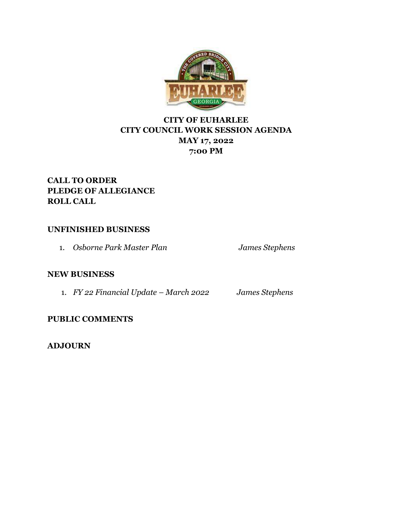

# **CITY OF EUHARLEE CITY COUNCIL WORK SESSION AGENDA MAY 17, 2022 7:00 PM**

# **CALL TO ORDER PLEDGE OF ALLEGIANCE ROLL CALL**

## **UNFINISHED BUSINESS**

1. *Osborne Park Master Plan James Stephens*

## **NEW BUSINESS**

1. *FY 22 Financial Update – March 2022 James Stephens*

**PUBLIC COMMENTS**

**ADJOURN**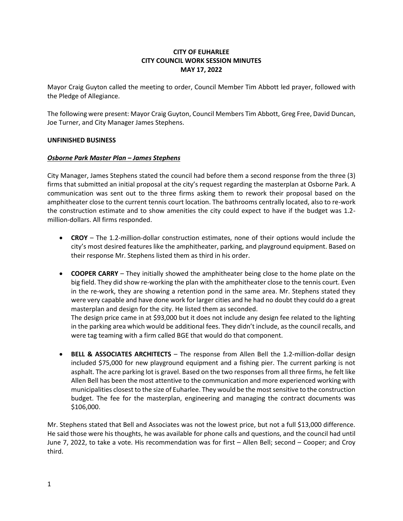### **CITY OF EUHARLEE CITY COUNCIL WORK SESSION MINUTES MAY 17, 2022**

Mayor Craig Guyton called the meeting to order, Council Member Tim Abbott led prayer, followed with the Pledge of Allegiance.

The following were present: Mayor Craig Guyton, Council Members Tim Abbott, Greg Free, David Duncan, Joe Turner, and City Manager James Stephens.

#### **UNFINISHED BUSINESS**

#### *Osborne Park Master Plan – James Stephens*

City Manager, James Stephens stated the council had before them a second response from the three (3) firms that submitted an initial proposal at the city's request regarding the masterplan at Osborne Park. A communication was sent out to the three firms asking them to rework their proposal based on the amphitheater close to the current tennis court location. The bathrooms centrally located, also to re-work the construction estimate and to show amenities the city could expect to have if the budget was 1.2 million-dollars. All firms responded.

- **CROY** The 1.2-million-dollar construction estimates, none of their options would include the city's most desired features like the amphitheater, parking, and playground equipment. Based on their response Mr. Stephens listed them as third in his order.
- **COOPER CARRY** They initially showed the amphitheater being close to the home plate on the big field. They did show re-working the plan with the amphitheater close to the tennis court. Even in the re-work, they are showing a retention pond in the same area. Mr. Stephens stated they were very capable and have done work for larger cities and he had no doubt they could do a great masterplan and design for the city. He listed them as seconded.

The design price came in at \$93,000 but it does not include any design fee related to the lighting in the parking area which would be additional fees. They didn't include, as the council recalls, and were tag teaming with a firm called BGE that would do that component.

• **BELL & ASSOCIATES ARCHITECTS** – The response from Allen Bell the 1.2-million-dollar design included \$75,000 for new playground equipment and a fishing pier. The current parking is not asphalt. The acre parking lot is gravel. Based on the two responses from all three firms, he felt like Allen Bell has been the most attentive to the communication and more experienced working with municipalities closest to the size of Euharlee. They would be the most sensitive to the construction budget. The fee for the masterplan, engineering and managing the contract documents was \$106,000.

Mr. Stephens stated that Bell and Associates was not the lowest price, but not a full \$13,000 difference. He said those were his thoughts, he was available for phone calls and questions, and the council had until June 7, 2022, to take a vote. His recommendation was for first – Allen Bell; second – Cooper; and Croy third.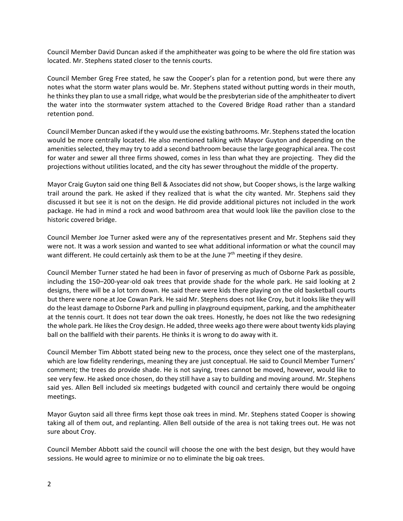Council Member David Duncan asked if the amphitheater was going to be where the old fire station was located. Mr. Stephens stated closer to the tennis courts.

Council Member Greg Free stated, he saw the Cooper's plan for a retention pond, but were there any notes what the storm water plans would be. Mr. Stephens stated without putting words in their mouth, he thinks they plan to use a small ridge, what would be the presbyterian side of the amphitheater to divert the water into the stormwater system attached to the Covered Bridge Road rather than a standard retention pond.

Council Member Duncan asked if the y would use the existing bathrooms. Mr. Stephens stated the location would be more centrally located. He also mentioned talking with Mayor Guyton and depending on the amenities selected, they may try to add a second bathroom because the large geographical area. The cost for water and sewer all three firms showed, comes in less than what they are projecting. They did the projections without utilities located, and the city has sewer throughout the middle of the property.

Mayor Craig Guyton said one thing Bell & Associates did not show, but Cooper shows, is the large walking trail around the park. He asked if they realized that is what the city wanted. Mr. Stephens said they discussed it but see it is not on the design. He did provide additional pictures not included in the work package. He had in mind a rock and wood bathroom area that would look like the pavilion close to the historic covered bridge.

Council Member Joe Turner asked were any of the representatives present and Mr. Stephens said they were not. It was a work session and wanted to see what additional information or what the council may want different. He could certainly ask them to be at the June 7<sup>th</sup> meeting if they desire.

Council Member Turner stated he had been in favor of preserving as much of Osborne Park as possible, including the 150–200-year-old oak trees that provide shade for the whole park. He said looking at 2 designs, there will be a lot torn down. He said there were kids there playing on the old basketball courts but there were none at Joe Cowan Park. He said Mr. Stephens does not like Croy, but it looks like they will do the least damage to Osborne Park and pulling in playground equipment, parking, and the amphitheater at the tennis court. It does not tear down the oak trees. Honestly, he does not like the two redesigning the whole park. He likes the Croy design. He added, three weeks ago there were about twenty kids playing ball on the ballfield with their parents. He thinks it is wrong to do away with it.

Council Member Tim Abbott stated being new to the process, once they select one of the masterplans, which are low fidelity renderings, meaning they are just conceptual. He said to Council Member Turners' comment; the trees do provide shade. He is not saying, trees cannot be moved, however, would like to see very few. He asked once chosen, do they still have a say to building and moving around. Mr. Stephens said yes. Allen Bell included six meetings budgeted with council and certainly there would be ongoing meetings.

Mayor Guyton said all three firms kept those oak trees in mind. Mr. Stephens stated Cooper is showing taking all of them out, and replanting. Allen Bell outside of the area is not taking trees out. He was not sure about Croy.

Council Member Abbott said the council will choose the one with the best design, but they would have sessions. He would agree to minimize or no to eliminate the big oak trees.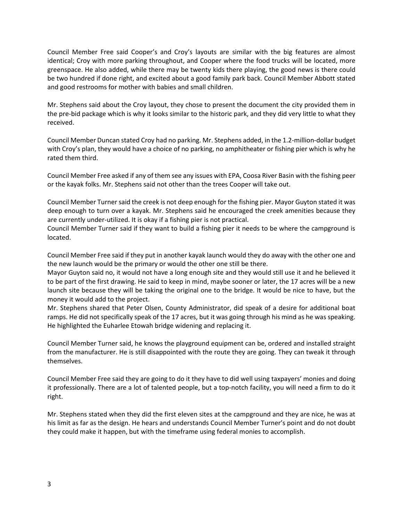Council Member Free said Cooper's and Croy's layouts are similar with the big features are almost identical; Croy with more parking throughout, and Cooper where the food trucks will be located, more greenspace. He also added, while there may be twenty kids there playing, the good news is there could be two hundred if done right, and excited about a good family park back. Council Member Abbott stated and good restrooms for mother with babies and small children.

Mr. Stephens said about the Croy layout, they chose to present the document the city provided them in the pre-bid package which is why it looks similar to the historic park, and they did very little to what they received.

Council Member Duncan stated Croy had no parking. Mr. Stephens added, in the 1.2-million-dollar budget with Croy's plan, they would have a choice of no parking, no amphitheater or fishing pier which is why he rated them third.

Council Member Free asked if any of them see any issues with EPA, Coosa River Basin with the fishing peer or the kayak folks. Mr. Stephens said not other than the trees Cooper will take out.

Council Member Turner said the creek is not deep enough for the fishing pier. Mayor Guyton stated it was deep enough to turn over a kayak. Mr. Stephens said he encouraged the creek amenities because they are currently under-utilized. It is okay if a fishing pier is not practical.

Council Member Turner said if they want to build a fishing pier it needs to be where the campground is located.

Council Member Free said if they put in another kayak launch would they do away with the other one and the new launch would be the primary or would the other one still be there.

Mayor Guyton said no, it would not have a long enough site and they would still use it and he believed it to be part of the first drawing. He said to keep in mind, maybe sooner or later, the 17 acres will be a new launch site because they will be taking the original one to the bridge. It would be nice to have, but the money it would add to the project.

Mr. Stephens shared that Peter Olsen, County Administrator, did speak of a desire for additional boat ramps. He did not specifically speak of the 17 acres, but it was going through his mind as he was speaking. He highlighted the Euharlee Etowah bridge widening and replacing it.

Council Member Turner said, he knows the playground equipment can be, ordered and installed straight from the manufacturer. He is still disappointed with the route they are going. They can tweak it through themselves.

Council Member Free said they are going to do it they have to did well using taxpayers' monies and doing it professionally. There are a lot of talented people, but a top-notch facility, you will need a firm to do it right.

Mr. Stephens stated when they did the first eleven sites at the campground and they are nice, he was at his limit as far as the design. He hears and understands Council Member Turner's point and do not doubt they could make it happen, but with the timeframe using federal monies to accomplish.